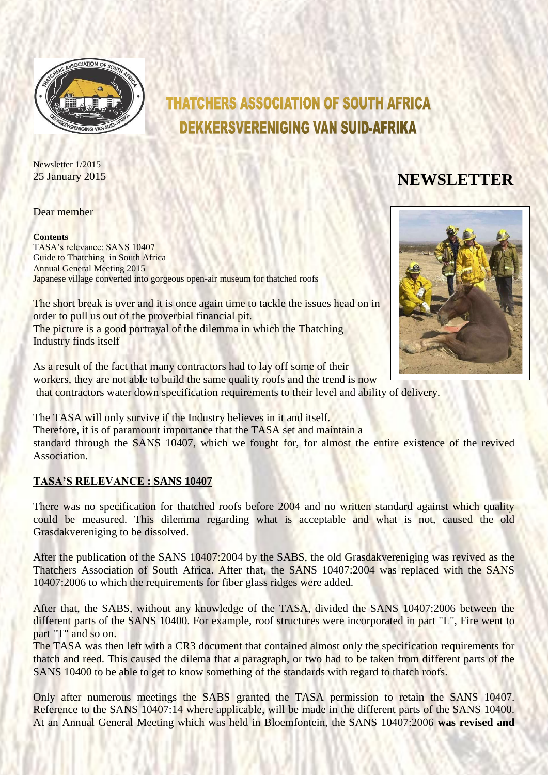

# **THATCHERS ASSOCIATION OF SOUTH AFRICA DEKKERSVERENIGING VAN SUID-AFRIKA**

Newsletter 1/2015 <sup>25</sup> January <sup>2015</sup> **NEWSLETTER**

#### Dear member

#### **Contents**

TASA's relevance: SANS 10407 Guide to Thatching in South Africa Annual General Meeting 2015 Japanese village converted into gorgeous open-air museum for thatched roofs

The short break is over and it is once again time to tackle the issues head on in order to pull us out of the proverbial financial pit. The picture is a good portrayal of the dilemma in which the Thatching Industry finds itself

As a result of the fact that many contractors had to lay off some of their workers, they are not able to build the same quality roofs and the trend is now that contractors water down specification requirements to their level and ability of delivery.

The TASA will only survive if the Industry believes in it and itself. Therefore, it is of paramount importance that the TASA set and maintain a standard through the SANS 10407, which we fought for, for almost the entire existence of the revived Association.

#### **TASA'S RELEVANCE : SANS 10407**

There was no specification for thatched roofs before 2004 and no written standard against which quality could be measured. This dilemma regarding what is acceptable and what is not, caused the old Grasdakvereniging to be dissolved.

After the publication of the SANS 10407:2004 by the SABS, the old Grasdakvereniging was revived as the Thatchers Association of South Africa. After that, the SANS 10407:2004 was replaced with the SANS 10407:2006 to which the requirements for fiber glass ridges were added.

After that, the SABS, without any knowledge of the TASA, divided the SANS 10407:2006 between the different parts of the SANS 10400. For example, roof structures were incorporated in part "L", Fire went to part "T" and so on.

The TASA was then left with a CR3 document that contained almost only the specification requirements for thatch and reed. This caused the dilema that a paragraph, or two had to be taken from different parts of the SANS 10400 to be able to get to know something of the standards with regard to thatch roofs.

Only after numerous meetings the SABS granted the TASA permission to retain the SANS 10407. Reference to the SANS 10407:14 where applicable, will be made in the different parts of the SANS 10400. At an Annual General Meeting which was held in Bloemfontein, the SANS 10407:2006 **was revised and** 

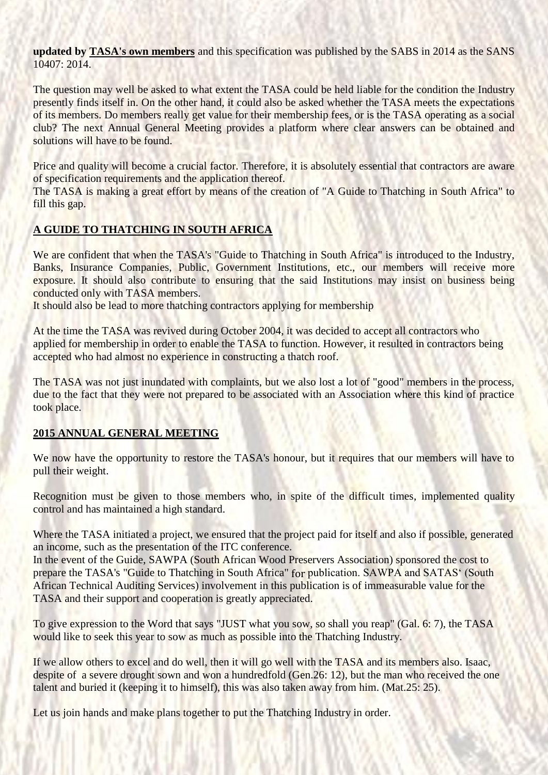**updated by TASA's own members** and this specification was published by the SABS in 2014 as the SANS 10407: 2014.

The question may well be asked to what extent the TASA could be held liable for the condition the Industry presently finds itself in. On the other hand, it could also be asked whether the TASA meets the expectations of its members. Do members really get value for their membership fees, or is the TASA operating as a social club? The next Annual General Meeting provides a platform where clear answers can be obtained and solutions will have to be found.

Price and quality will become a crucial factor. Therefore, it is absolutely essential that contractors are aware of specification requirements and the application thereof.

The TASA is making a great effort by means of the creation of "A Guide to Thatching in South Africa" to fill this gap.

## **A GUIDE TO THATCHING IN SOUTH AFRICA**

We are confident that when the TASA's "Guide to Thatching in South Africa" is introduced to the Industry, Banks, Insurance Companies, Public, Government Institutions, etc., our members will receive more exposure. It should also contribute to ensuring that the said Institutions may insist on business being conducted only with TASA members.

It should also be lead to more thatching contractors applying for membership

At the time the TASA was revived during October 2004, it was decided to accept all contractors who applied for membership in order to enable the TASA to function. However, it resulted in contractors being accepted who had almost no experience in constructing a thatch roof.

The TASA was not just inundated with complaints, but we also lost a lot of "good" members in the process, due to the fact that they were not prepared to be associated with an Association where this kind of practice took place.

## **2015 ANNUAL GENERAL MEETING**

We now have the opportunity to restore the TASA's honour, but it requires that our members will have to pull their weight.

Recognition must be given to those members who, in spite of the difficult times, implemented quality control and has maintained a high standard.

Where the TASA initiated a project, we ensured that the project paid for itself and also if possible, generated an income, such as the presentation of the ITC conference.

In the event of the Guide, SAWPA (South African Wood Preservers Association) sponsored the cost to prepare the TASA's "Guide to Thatching in South Africa" for publication. SAWPA and SATAS' (South African Technical Auditing Services) involvement in this publication is of immeasurable value for the TASA and their support and cooperation is greatly appreciated.

To give expression to the Word that says "JUST what you sow, so shall you reap" (Gal. 6: 7), the TASA would like to seek this year to sow as much as possible into the Thatching Industry.

If we allow others to excel and do well, then it will go well with the TASA and its members also. Isaac, despite of a severe drought sown and won a hundredfold (Gen.26: 12), but the man who received the one talent and buried it (keeping it to himself), this was also taken away from him. (Mat.25: 25).

Let us join hands and make plans together to put the Thatching Industry in order.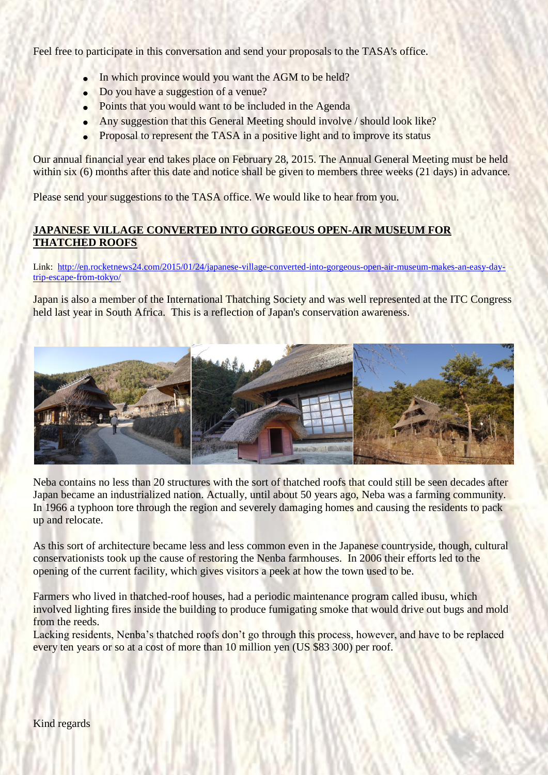Feel free to participate in this conversation and send your proposals to the TASA's office.

- In which province would you want the AGM to be held?
- Do you have a suggestion of a venue?
- Points that you would want to be included in the Agenda
- Any suggestion that this General Meeting should involve / should look like?
- Proposal to represent the TASA in a positive light and to improve its status

Our annual financial year end takes place on February 28, 2015. The Annual General Meeting must be held within six (6) months after this date and notice shall be given to members three weeks (21 days) in advance.

Please send your suggestions to the TASA office. We would like to hear from you.

## **JAPANESE VILLAGE CONVERTED INTO GORGEOUS OPEN-AIR MUSEUM FOR THATCHED ROOFS**

Link: [http://en.rocketnews24.com/2015/01/24/japanese-village-converted-into-gorgeous-open-air-museum-makes-an-easy-day](http://en.rocketnews24.com/2015/01/24/japanese-village-converted-into-gorgeous-open-air-museum-makes-an-easy-day-trip-escape-from-tokyo/)[trip-escape-from-tokyo/](http://en.rocketnews24.com/2015/01/24/japanese-village-converted-into-gorgeous-open-air-museum-makes-an-easy-day-trip-escape-from-tokyo/)

Japan is also a member of the International Thatching Society and was well represented at the ITC Congress held last year in South Africa. This is a reflection of Japan's conservation awareness.



Neba contains no less than 20 structures with the sort of thatched roofs that could still be seen decades after Japan became an industrialized nation. Actually, until about 50 years ago, Neba was a farming community. In 1966 a typhoon tore through the region and severely damaging homes and causing the residents to pack up and relocate.

As this sort of architecture became less and less common even in the Japanese countryside, though, cultural conservationists took up the cause of restoring the Nenba farmhouses. In 2006 their efforts led to the opening of the current facility, which gives visitors a peek at how the town used to be.

Farmers who lived in thatched-roof houses, had a periodic maintenance program called ibusu, which involved lighting fires inside the building to produce fumigating smoke that would drive out bugs and mold from the reeds.

Lacking residents, Nenba's thatched roofs don't go through this process, however, and have to be replaced every ten years or so at a cost of more than 10 million yen (US \$83 300) per roof.